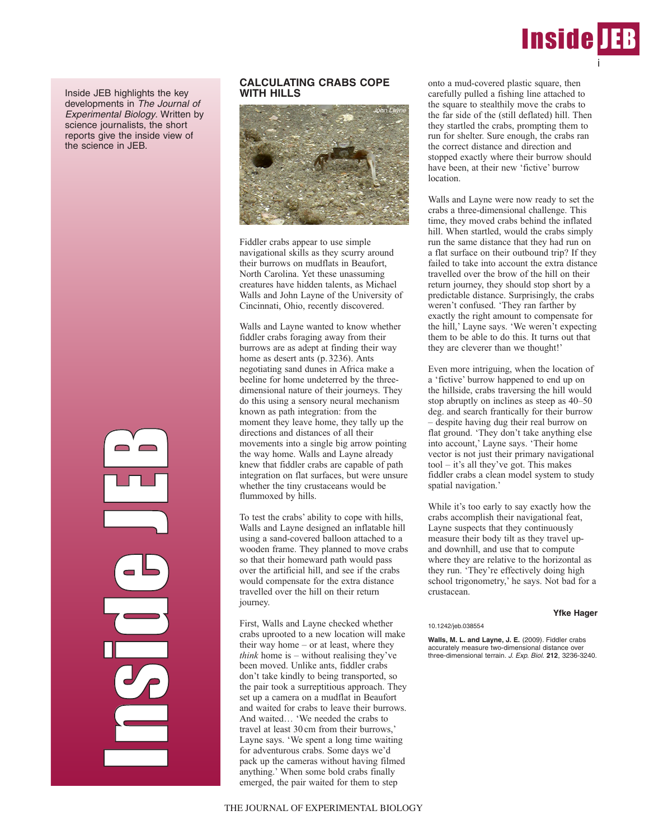# Inside JEB i

Inside JEB highlights the key developments in The Journal of Experimental Biology. Written by science journalists, the short reports give the inside view of the science in JEB.

> **Industrial** n $\mathcal{C}_{\mathcal{P}}$ in 1999 and 1999 d<br>J e J EP)

## **CALCULATING CRABS COPE WITH HILLS**



Fiddler crabs appear to use simple navigational skills as they scurry around their burrows on mudflats in Beaufort, North Carolina. Yet these unassuming creatures have hidden talents, as Michael Walls and John Layne of the University of Cincinnati, Ohio, recently discovered.

Walls and Layne wanted to know whether fiddler crabs foraging away from their burrows are as adept at finding their way home as desert ants (p. 3236). Ants negotiating sand dunes in Africa make a beeline for home undeterred by the threedimensional nature of their journeys. They do this using a sensory neural mechanism known as path integration: from the moment they leave home, they tally up the directions and distances of all their movements into a single big arrow pointing the way home. Walls and Layne already knew that fiddler crabs are capable of path integration on flat surfaces, but were unsure whether the tiny crustaceans would be flummoxed by hills.

To test the crabs' ability to cope with hills, Walls and Layne designed an inflatable hill using a sand-covered balloon attached to a wooden frame. They planned to move crabs so that their homeward path would pass over the artificial hill, and see if the crabs would compensate for the extra distance travelled over the hill on their return journey.

First, Walls and Layne checked whether crabs uprooted to a new location will make their way home – or at least, where they *think* home is – without realising they've been moved. Unlike ants, fiddler crabs don't take kindly to being transported, so the pair took a surreptitious approach. They set up a camera on a mudflat in Beaufort and waited for crabs to leave their burrows. And waited… 'We needed the crabs to travel at least 30 cm from their burrows,' Layne says. 'We spent a long time waiting for adventurous crabs. Some days we'd pack up the cameras without having filmed anything.' When some bold crabs finally emerged, the pair waited for them to step

onto a mud-covered plastic square, then carefully pulled a fishing line attached to the square to stealthily move the crabs to the far side of the (still deflated) hill. Then they startled the crabs, prompting them to run for shelter. Sure enough, the crabs ran the correct distance and direction and stopped exactly where their burrow should have been, at their new 'fictive' burrow location.

Walls and Layne were now ready to set the crabs a three-dimensional challenge. This time, they moved crabs behind the inflated hill. When startled, would the crabs simply run the same distance that they had run on a flat surface on their outbound trip? If they failed to take into account the extra distance travelled over the brow of the hill on their return journey, they should stop short by a predictable distance. Surprisingly, the crabs weren't confused. 'They ran farther by exactly the right amount to compensate for the hill,' Layne says. 'We weren't expecting them to be able to do this. It turns out that they are cleverer than we thought!'

Even more intriguing, when the location of a 'fictive' burrow happened to end up on the hillside, crabs traversing the hill would stop abruptly on inclines as steep as 40–50 deg. and search frantically for their burrow – despite having dug their real burrow on flat ground. 'They don't take anything else into account,' Layne says. 'Their home vector is not just their primary navigational tool – it's all they've got. This makes fiddler crabs a clean model system to study spatial navigation.'

While it's too early to say exactly how the crabs accomplish their navigational feat, Layne suspects that they continuously measure their body tilt as they travel upand downhill, and use that to compute where they are relative to the horizontal as they run. 'They're effectively doing high school trigonometry,' he says. Not bad for a crustacean.

#### **Yfke Hager**

10.1242/jeb.038554

**Walls, M. L. and Layne, J. E.** (2009). Fiddler crabs accurately measure two-dimensional distance over three-dimensional terrain. J. Exp. Biol. **212**, 3236-3240.